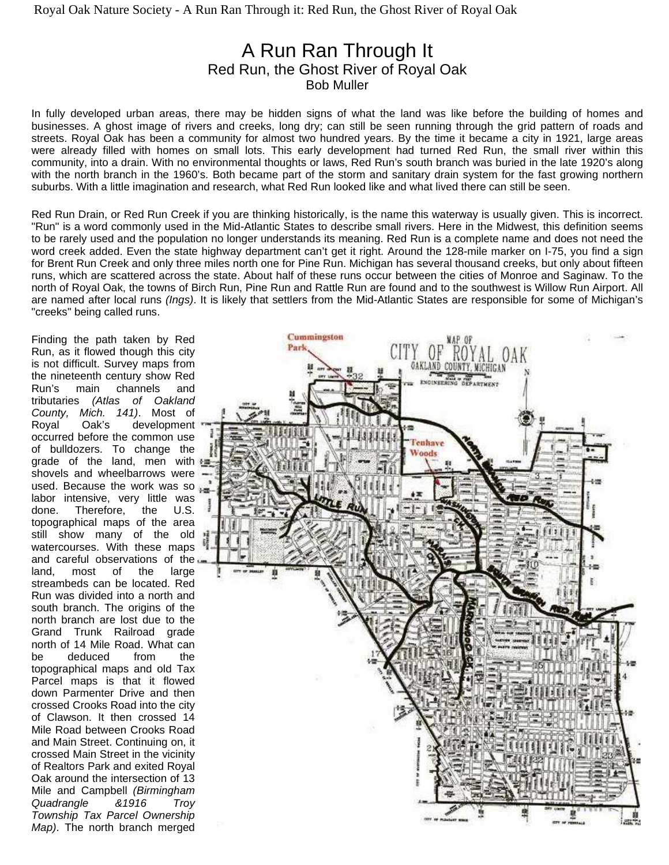# A Run Ran Through It Red Run, the Ghost River of Royal Oak Bob Muller

In fully developed urban areas, there may be hidden signs of what the land was like before the building of homes and businesses. A ghost image of rivers and creeks, long dry; can still be seen running through the grid pattern of roads and streets. Royal Oak has been a community for almost two hundred years. By the time it became a city in 1921, large areas were already filled with homes on small lots. This early development had turned Red Run, the small river within this community, into a drain. With no environmental thoughts or laws, Red Run's south branch was buried in the late 1920's along with the north branch in the 1960's. Both became part of the storm and sanitary drain system for the fast growing northern suburbs. With a little imagination and research, what Red Run looked like and what lived there can still be seen.

Red Run Drain, or Red Run Creek if you are thinking historically, is the name this waterway is usually given. This is incorrect. "Run" is a word commonly used in the Mid-Atlantic States to describe small rivers. Here in the Midwest, this definition seems to be rarely used and the population no longer understands its meaning. Red Run is a complete name and does not need the word creek added. Even the state highway department can't get it right. Around the 128-mile marker on I-75, you find a sign for Brent Run Creek and only three miles north one for Pine Run. Michigan has several thousand creeks, but only about fifteen runs, which are scattered across the state. About half of these runs occur between the cities of Monroe and Saginaw. To the north of Royal Oak, the towns of Birch Run, Pine Run and Rattle Run are found and to the southwest is Willow Run Airport. All are named after local runs (Ings). It is likely that settlers from the Mid-Atlantic States are responsible for some of Michigan's "creeks" being called runs.

Finding the path taken by Red Run, as it flowed though this city is not difficult. Survey maps from the nineteenth century show Red Run's main channels and tributaries (Atlas of Oakland County, Mich. 141). Most of Royal Oak's development occurred before the common use of bulldozers. To change the grade of the land, men with shovels and wheelbarrows were used. Because the work was so labor intensive, very little was done. Therefore, the U.S. topographical maps of the area still show many of the old watercourses. With these maps and careful observations of the land, most of the large streambeds can be located. Red Run was divided into a north and south branch. The origins of the north branch are lost due to the Grand Trunk Railroad grade north of 14 Mile Road. What can be deduced from the topographical maps and old Tax Parcel maps is that it flowed down Parmenter Drive and then crossed Crooks Road into the city of Clawson. It then crossed 14 Mile Road between Crooks Road and Main Street. Continuing on, it crossed Main Street in the vicinity of Realtors Park and exited Royal Oak around the intersection of 13 Mile and Campbell (Birmingham Quadrangle &1916 Troy Township Tax Parcel Ownership Map). The north branch merged

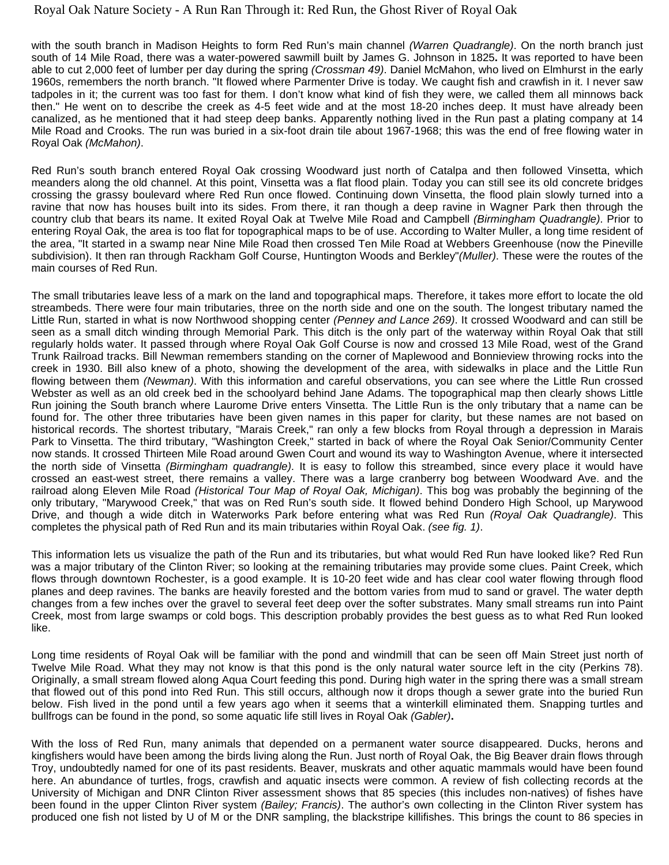### Royal Oak Nature Society - A Run Ran Through it: Red Run, the Ghost River of Royal Oak

with the south branch in Madison Heights to form Red Run's main channel (Warren Quadrangle). On the north branch just south of 14 Mile Road, there was a water-powered sawmill built by James G. Johnson in 1825**.** It was reported to have been able to cut 2,000 feet of lumber per day during the spring (Crossman 49). Daniel McMahon, who lived on Elmhurst in the early 1960s, remembers the north branch. "It flowed where Parmenter Drive is today. We caught fish and crawfish in it. I never saw tadpoles in it; the current was too fast for them. I don't know what kind of fish they were, we called them all minnows back then." He went on to describe the creek as 4-5 feet wide and at the most 18-20 inches deep. It must have already been canalized, as he mentioned that it had steep deep banks. Apparently nothing lived in the Run past a plating company at 14 Mile Road and Crooks. The run was buried in a six-foot drain tile about 1967-1968; this was the end of free flowing water in Royal Oak (McMahon).

Red Run's south branch entered Royal Oak crossing Woodward just north of Catalpa and then followed Vinsetta, which meanders along the old channel. At this point, Vinsetta was a flat flood plain. Today you can still see its old concrete bridges crossing the grassy boulevard where Red Run once flowed. Continuing down Vinsetta, the flood plain slowly turned into a ravine that now has houses built into its sides. From there, it ran though a deep ravine in Wagner Park then through the country club that bears its name. It exited Royal Oak at Twelve Mile Road and Campbell (Birmingham Quadrangle). Prior to entering Royal Oak, the area is too flat for topographical maps to be of use. According to Walter Muller, a long time resident of the area, "It started in a swamp near Nine Mile Road then crossed Ten Mile Road at Webbers Greenhouse (now the Pineville subdivision). It then ran through Rackham Golf Course, Huntington Woods and Berkley"(Muller). These were the routes of the main courses of Red Run.

The small tributaries leave less of a mark on the land and topographical maps. Therefore, it takes more effort to locate the old streambeds. There were four main tributaries, three on the north side and one on the south. The longest tributary named the Little Run, started in what is now Northwood shopping center (Penney and Lance 269). It crossed Woodward and can still be seen as a small ditch winding through Memorial Park. This ditch is the only part of the waterway within Royal Oak that still regularly holds water. It passed through where Royal Oak Golf Course is now and crossed 13 Mile Road, west of the Grand Trunk Railroad tracks. Bill Newman remembers standing on the corner of Maplewood and Bonnieview throwing rocks into the creek in 1930. Bill also knew of a photo, showing the development of the area, with sidewalks in place and the Little Run flowing between them (Newman). With this information and careful observations, you can see where the Little Run crossed Webster as well as an old creek bed in the schoolyard behind Jane Adams. The topographical map then clearly shows Little Run joining the South branch where Laurome Drive enters Vinsetta. The Little Run is the only tributary that a name can be found for. The other three tributaries have been given names in this paper for clarity, but these names are not based on historical records. The shortest tributary, "Marais Creek," ran only a few blocks from Royal through a depression in Marais Park to Vinsetta. The third tributary, "Washington Creek," started in back of where the Royal Oak Senior/Community Center now stands. It crossed Thirteen Mile Road around Gwen Court and wound its way to Washington Avenue, where it intersected the north side of Vinsetta *(Birmingham quadrangle)*. It is easy to follow this streambed, since every place it would have crossed an east-west street, there remains a valley. There was a large cranberry bog between Woodward Ave. and the railroad along Eleven Mile Road (Historical Tour Map of Royal Oak, Michigan). This bog was probably the beginning of the only tributary, "Marywood Creek," that was on Red Run's south side. It flowed behind Dondero High School, up Marywood Drive, and though a wide ditch in Waterworks Park before entering what was Red Run (Royal Oak Quadrangle). This completes the physical path of Red Run and its main tributaries within Royal Oak. (see fig. 1).

This information lets us visualize the path of the Run and its tributaries, but what would Red Run have looked like? Red Run was a major tributary of the Clinton River; so looking at the remaining tributaries may provide some clues. Paint Creek, which flows through downtown Rochester, is a good example. It is 10-20 feet wide and has clear cool water flowing through flood planes and deep ravines. The banks are heavily forested and the bottom varies from mud to sand or gravel. The water depth changes from a few inches over the gravel to several feet deep over the softer substrates. Many small streams run into Paint Creek, most from large swamps or cold bogs. This description probably provides the best guess as to what Red Run looked like.

Long time residents of Royal Oak will be familiar with the pond and windmill that can be seen off Main Street just north of Twelve Mile Road. What they may not know is that this pond is the only natural water source left in the city (Perkins 78). Originally, a small stream flowed along Aqua Court feeding this pond. During high water in the spring there was a small stream that flowed out of this pond into Red Run. This still occurs, although now it drops though a sewer grate into the buried Run below. Fish lived in the pond until a few years ago when it seems that a winterkill eliminated them. Snapping turtles and bullfrogs can be found in the pond, so some aquatic life still lives in Royal Oak (Gabler)**.**

With the loss of Red Run, many animals that depended on a permanent water source disappeared. Ducks, herons and kingfishers would have been among the birds living along the Run. Just north of Royal Oak, the Big Beaver drain flows through Troy, undoubtedly named for one of its past residents. Beaver, muskrats and other aquatic mammals would have been found here. An abundance of turtles, frogs, crawfish and aquatic insects were common. A review of fish collecting records at the University of Michigan and DNR Clinton River assessment shows that 85 species (this includes non-natives) of fishes have been found in the upper Clinton River system (Bailey; Francis). The author's own collecting in the Clinton River system has produced one fish not listed by U of M or the DNR sampling, the blackstripe killifishes. This brings the count to 86 species in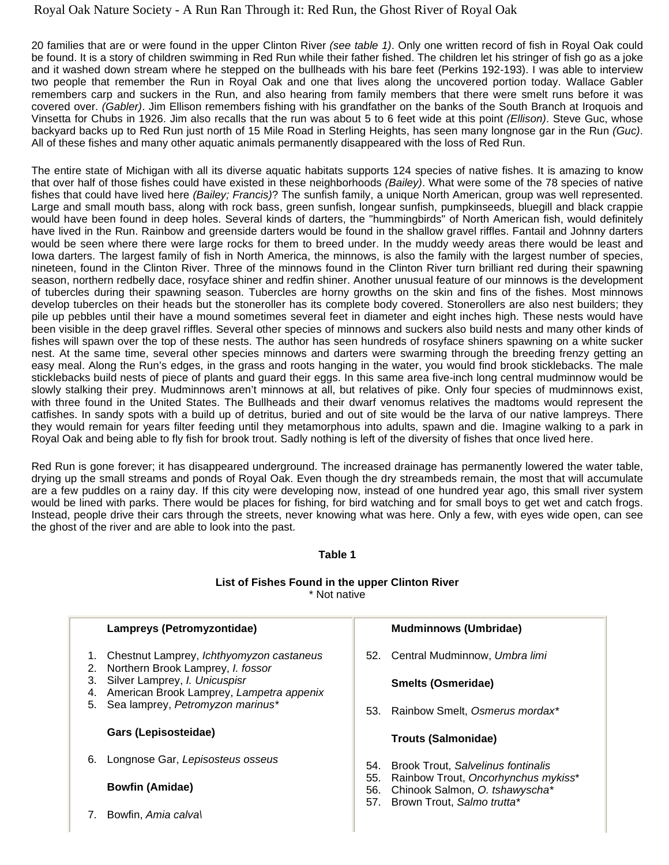## Royal Oak Nature Society - A Run Ran Through it: Red Run, the Ghost River of Royal Oak

20 families that are or were found in the upper Clinton River (see table 1). Only one written record of fish in Royal Oak could be found. It is a story of children swimming in Red Run while their father fished. The children let his stringer of fish go as a joke and it washed down stream where he stepped on the bullheads with his bare feet (Perkins 192-193). I was able to interview two people that remember the Run in Royal Oak and one that lives along the uncovered portion today. Wallace Gabler remembers carp and suckers in the Run, and also hearing from family members that there were smelt runs before it was covered over. (Gabler). Jim Ellison remembers fishing with his grandfather on the banks of the South Branch at Iroquois and Vinsetta for Chubs in 1926. Jim also recalls that the run was about 5 to 6 feet wide at this point (Ellison). Steve Guc, whose backyard backs up to Red Run just north of 15 Mile Road in Sterling Heights, has seen many longnose gar in the Run (Guc). All of these fishes and many other aquatic animals permanently disappeared with the loss of Red Run.

The entire state of Michigan with all its diverse aquatic habitats supports 124 species of native fishes. It is amazing to know that over half of those fishes could have existed in these neighborhoods (Bailey). What were some of the 78 species of native fishes that could have lived here (Bailey; Francis)? The sunfish family, a unique North American, group was well represented. Large and small mouth bass, along with rock bass, green sunfish, longear sunfish, pumpkinseeds, bluegill and black crappie would have been found in deep holes. Several kinds of darters, the "hummingbirds" of North American fish, would definitely have lived in the Run. Rainbow and greenside darters would be found in the shallow gravel riffles. Fantail and Johnny darters would be seen where there were large rocks for them to breed under. In the muddy weedy areas there would be least and Iowa darters. The largest family of fish in North America, the minnows, is also the family with the largest number of species, nineteen, found in the Clinton River. Three of the minnows found in the Clinton River turn brilliant red during their spawning season, northern redbelly dace, rosyface shiner and redfin shiner. Another unusual feature of our minnows is the development of tubercles during their spawning season. Tubercles are horny growths on the skin and fins of the fishes. Most minnows develop tubercles on their heads but the stoneroller has its complete body covered. Stonerollers are also nest builders; they pile up pebbles until their have a mound sometimes several feet in diameter and eight inches high. These nests would have been visible in the deep gravel riffles. Several other species of minnows and suckers also build nests and many other kinds of fishes will spawn over the top of these nests. The author has seen hundreds of rosyface shiners spawning on a white sucker nest. At the same time, several other species minnows and darters were swarming through the breeding frenzy getting an easy meal. Along the Run's edges, in the grass and roots hanging in the water, you would find brook sticklebacks. The male sticklebacks build nests of piece of plants and guard their eggs. In this same area five-inch long central mudminnow would be slowly stalking their prey. Mudminnows aren't minnows at all, but relatives of pike. Only four species of mudminnows exist, with three found in the United States. The Bullheads and their dwarf venomus relatives the madtoms would represent the catfishes. In sandy spots with a build up of detritus, buried and out of site would be the larva of our native lampreys. There they would remain for years filter feeding until they metamorphous into adults, spawn and die. Imagine walking to a park in Royal Oak and being able to fly fish for brook trout. Sadly nothing is left of the diversity of fishes that once lived here.

Red Run is gone forever; it has disappeared underground. The increased drainage has permanently lowered the water table, drying up the small streams and ponds of Royal Oak. Even though the dry streambeds remain, the most that will accumulate are a few puddles on a rainy day. If this city were developing now, instead of one hundred year ago, this small river system would be lined with parks. There would be places for fishing, for bird watching and for small boys to get wet and catch frogs. Instead, people drive their cars through the streets, never knowing what was here. Only a few, with eyes wide open, can see the ghost of the river and are able to look into the past.

#### **Table 1**

#### **List of Fishes Found in the upper Clinton River**  \* Not native

|                      | Lampreys (Petromyzontidae)                                                                                                                                                                            |                          | <b>Mudminnows (Umbridae)</b>                                                                                                                     |
|----------------------|-------------------------------------------------------------------------------------------------------------------------------------------------------------------------------------------------------|--------------------------|--------------------------------------------------------------------------------------------------------------------------------------------------|
| 2.<br>З.<br>4.<br>5. | Chestnut Lamprey, <i>Ichthyomyzon castaneus</i><br>Northern Brook Lamprey, I. fossor<br>Silver Lamprey, I. Unicuspisr<br>American Brook Lamprey, Lampetra appenix<br>Sea lamprey, Petromyzon marinus* |                          | 52. Central Mudminnow, Umbra limi                                                                                                                |
|                      |                                                                                                                                                                                                       |                          | Smelts (Osmeridae)                                                                                                                               |
|                      |                                                                                                                                                                                                       | 53.                      | Rainbow Smelt, Osmerus mordax*                                                                                                                   |
|                      | Gars (Lepisosteidae)                                                                                                                                                                                  |                          | <b>Trouts (Salmonidae)</b>                                                                                                                       |
| 6.                   | Longnose Gar, Lepisosteus osseus                                                                                                                                                                      | 54.<br>55.<br>56.<br>57. | <b>Brook Trout, Salvelinus fontinalis</b><br>Rainbow Trout, Oncorhynchus mykiss*<br>Chinook Salmon, O. tshawyscha*<br>Brown Trout, Salmo trutta* |
|                      | <b>Bowfin (Amidae)</b>                                                                                                                                                                                |                          |                                                                                                                                                  |
|                      | Bowfin. Amia calval                                                                                                                                                                                   |                          |                                                                                                                                                  |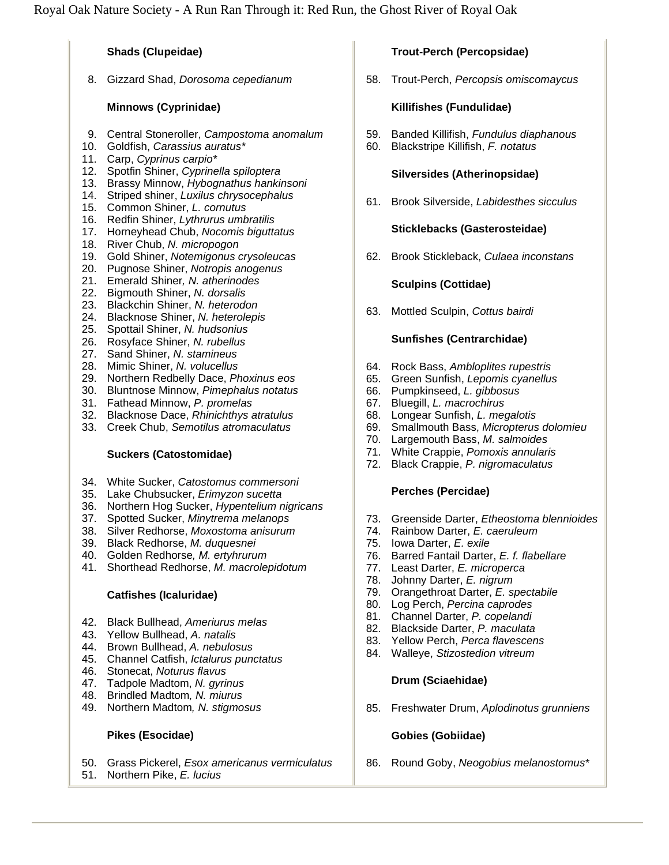### **Shads (Clupeidae)**

8. Gizzard Shad, Dorosoma cepedianum

## **Minnows (Cyprinidae)**

- 9. Central Stoneroller, Campostoma anomalum
- 10. Goldfish, Carassius auratus\*
- 11. Carp, Cyprinus carpio\*
- 12. Spotfin Shiner, Cyprinella spiloptera
- 13. Brassy Minnow, Hybognathus hankinsoni
- 14. Striped shiner, Luxilus chrysocephalus
- 15. Common Shiner, L. cornutus
- 16. Redfin Shiner, Lythrurus umbratilis
- 17. Horneyhead Chub, Nocomis biguttatus
- 18. River Chub, N. micropogon
- 19. Gold Shiner, Notemigonus crysoleucas
- 20. Pugnose Shiner, Notropis anogenus
- 21. Emerald Shiner, N. atherinodes
- 22. Bigmouth Shiner, N. dorsalis
- 23. Blackchin Shiner, N. heterodon
- 24. Blacknose Shiner, N. heterolepis
- 25. Spottail Shiner, N. hudsonius
- 26. Rosyface Shiner, N. rubellus
- 27. Sand Shiner, N. stamineus
- 28. Mimic Shiner, N. volucellus
- 29. Northern Redbelly Dace, Phoxinus eos
- 30. Bluntnose Minnow, Pimephalus notatus
- 31. Fathead Minnow, P. promelas
- 32. Blacknose Dace, Rhinichthys atratulus
- 33. Creek Chub, Semotilus atromaculatus

### **Suckers (Catostomidae)**

- 34. White Sucker, Catostomus commersoni
- 35. Lake Chubsucker, Erimyzon sucetta
- 36. Northern Hog Sucker, Hypentelium nigricans
- 37. Spotted Sucker, Minytrema melanops
- 38. Silver Redhorse, Moxostoma anisurum
- 39. Black Redhorse, M. duquesnei
- 40. Golden Redhorse, M. ertyhrurum
- 41. Shorthead Redhorse, M. macrolepidotum

### **Catfishes (Icaluridae)**

- 42. Black Bullhead, Ameriurus melas
- 43. Yellow Bullhead, A. natalis
- 44. Brown Bullhead, A. nebulosus
- 45. Channel Catfish, Ictalurus punctatus
- 46. Stonecat, Noturus flavus
- 47. Tadpole Madtom, N. gyrinus
- 48. Brindled Madtom, N. miurus
- 49. Northern Madtom, N. stigmosus

### **Pikes (Esocidae)**

- 50. Grass Pickerel, Esox americanus vermiculatus
- 51. Northern Pike, E. lucius

# **Trout-Perch (Percopsidae)**

58. Trout-Perch, Percopsis omiscomaycus

### **Killifishes (Fundulidae)**

- 59. Banded Killifish, Fundulus diaphanous
- 60. Blackstripe Killifish, F. notatus

### **Silversides (Atherinopsidae)**

61. Brook Silverside, Labidesthes sicculus

### **Sticklebacks (Gasterosteidae)**

62. Brook Stickleback, Culaea inconstans

### **Sculpins (Cottidae)**

63. Mottled Sculpin, Cottus bairdi

### **Sunfishes (Centrarchidae)**

- 64. Rock Bass, Ambloplites rupestris
- 65. Green Sunfish, Lepomis cyanellus
- 66. Pumpkinseed, L. gibbosus
- 67. Bluegill, L. macrochirus
- 68. Longear Sunfish, L. megalotis
- 69. Smallmouth Bass, Micropterus dolomieu
- 70. Largemouth Bass, M. salmoides
- 71. White Crappie, Pomoxis annularis
- 72. Black Crappie, P. nigromaculatus

### **Perches (Percidae)**

- 73. Greenside Darter, Etheostoma blennioides
- 74. Rainbow Darter, E. caeruleum
- 75. Iowa Darter, E. exile
- 76. Barred Fantail Darter, E. f. flabellare
- 77. Least Darter, E. microperca
- 78. Johnny Darter, E. nigrum
- 79. Orangethroat Darter, E. spectabile
- 80. Log Perch, Percina caprodes
- 81. Channel Darter, P. copelandi
- 82. Blackside Darter, P. maculata
- 83. Yellow Perch, Perca flavescens
- 84. Walleye, Stizostedion vitreum

#### **Drum (Sciaehidae)**

85. Freshwater Drum, Aplodinotus grunniens

### **Gobies (Gobiidae)**

86. Round Goby, Neogobius melanostomus\*